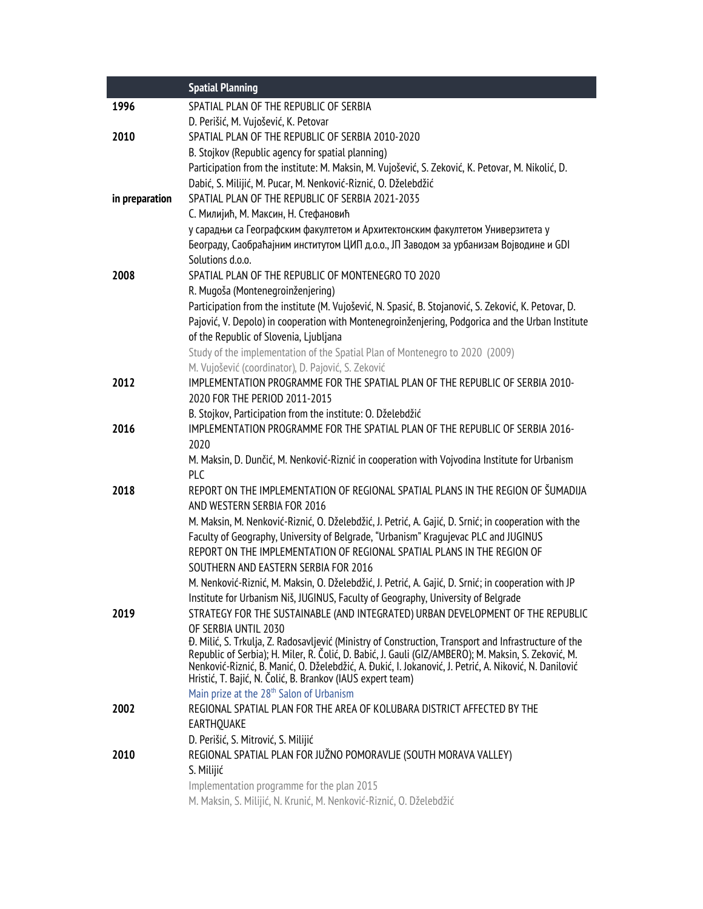|                | <b>Spatial Planning</b>                                                                                                                                                                                      |
|----------------|--------------------------------------------------------------------------------------------------------------------------------------------------------------------------------------------------------------|
| 1996           | SPATIAL PLAN OF THE REPUBLIC OF SERBIA                                                                                                                                                                       |
|                | D. Perišić, M. Vujošević, K. Petovar                                                                                                                                                                         |
| 2010           | SPATIAL PLAN OF THE REPUBLIC OF SERBIA 2010-2020                                                                                                                                                             |
|                | B. Stojkov (Republic agency for spatial planning)                                                                                                                                                            |
|                | Participation from the institute: M. Maksin, M. Vujošević, S. Zeković, K. Petovar, M. Nikolić, D.                                                                                                            |
|                | Dabić, S. Milijić, M. Pucar, M. Nenković-Riznić, O. Dželebdžić                                                                                                                                               |
| in preparation | SPATIAL PLAN OF THE REPUBLIC OF SERBIA 2021-2035                                                                                                                                                             |
|                | С. Милијић, М. Максин, Н. Стефановић                                                                                                                                                                         |
|                | у сарадњи са Географским факултетом и Архитектонским факултетом Универзитета у                                                                                                                               |
|                | Београду, Саобраћајним институтом ЦИП д.о.о., ЈП Заводом за урбанизам Војводине и GDI                                                                                                                        |
|                | Solutions d.o.o.                                                                                                                                                                                             |
| 2008           | SPATIAL PLAN OF THE REPUBLIC OF MONTENEGRO TO 2020                                                                                                                                                           |
|                | R. Mugoša (Montenegroinženjering)                                                                                                                                                                            |
|                | Participation from the institute (M. Vujošević, N. Spasić, B. Stojanović, S. Zeković, K. Petovar, D.                                                                                                         |
|                | Pajović, V. Depolo) in cooperation with Montenegroinženjering, Podgorica and the Urban Institute                                                                                                             |
|                | of the Republic of Slovenia, Ljubljana                                                                                                                                                                       |
|                | Study of the implementation of the Spatial Plan of Montenegro to 2020 (2009)                                                                                                                                 |
|                | M. Vujošević (coordinator), D. Pajović, S. Zeković                                                                                                                                                           |
| 2012           | IMPLEMENTATION PROGRAMME FOR THE SPATIAL PLAN OF THE REPUBLIC OF SERBIA 2010-                                                                                                                                |
|                | 2020 FOR THE PERIOD 2011-2015                                                                                                                                                                                |
| 2016           | B. Stojkov, Participation from the institute: O. Dželebdžić<br>IMPLEMENTATION PROGRAMME FOR THE SPATIAL PLAN OF THE REPUBLIC OF SERBIA 2016-                                                                 |
|                | 2020                                                                                                                                                                                                         |
|                | M. Maksin, D. Dunčić, M. Nenković-Riznić in cooperation with Vojvodina Institute for Urbanism                                                                                                                |
|                | <b>PLC</b>                                                                                                                                                                                                   |
| 2018           | REPORT ON THE IMPLEMENTATION OF REGIONAL SPATIAL PLANS IN THE REGION OF ŠUMADIJA                                                                                                                             |
|                | AND WESTERN SERBIA FOR 2016                                                                                                                                                                                  |
|                | M. Maksin, M. Nenković-Riznić, O. Dželebdžić, J. Petrić, A. Gajić, D. Srnić; in cooperation with the                                                                                                         |
|                | Faculty of Geography, University of Belgrade, "Urbanism" Kragujevac PLC and JUGINUS                                                                                                                          |
|                | REPORT ON THE IMPLEMENTATION OF REGIONAL SPATIAL PLANS IN THE REGION OF                                                                                                                                      |
|                | SOUTHERN AND EASTERN SERBIA FOR 2016                                                                                                                                                                         |
|                | M. Nenković-Riznić, M. Maksin, O. Dželebdžić, J. Petrić, A. Gajić, D. Srnić; in cooperation with JP                                                                                                          |
|                | Institute for Urbanism Niš, JUGINUS, Faculty of Geography, University of Belgrade                                                                                                                            |
| 2019           | STRATEGY FOR THE SUSTAINABLE (AND INTEGRATED) URBAN DEVELOPMENT OF THE REPUBLIC                                                                                                                              |
|                | OF SERBIA UNTIL 2030                                                                                                                                                                                         |
|                | Đ. Milić, S. Trkulja, Z. Radosavljević (Ministry of Construction, Transport and Infrastructure of the<br>Republic of Serbia); H. Miler, R. Čolić, D. Babić, J. Gauli (GIZ/AMBERO); M. Maksin, S. Zeković, M. |
|                | Nenković-Riznić, B. Manić, O. Dželebdžić, A. Đukić, I. Jokanović, J. Petrić, A. Niković, N. Danilović                                                                                                        |
|                | Hristić, T. Bajić, N. Čolić, B. Brankov (IAUS expert team)                                                                                                                                                   |
|                | Main prize at the 28 <sup>th</sup> Salon of Urbanism                                                                                                                                                         |
| 2002           | REGIONAL SPATIAL PLAN FOR THE AREA OF KOLUBARA DISTRICT AFFECTED BY THE                                                                                                                                      |
|                | EARTHQUAKE                                                                                                                                                                                                   |
|                | D. Perišić, S. Mitrović, S. Milijić                                                                                                                                                                          |
| 2010           | REGIONAL SPATIAL PLAN FOR JUŽNO POMORAVLJE (SOUTH MORAVA VALLEY)                                                                                                                                             |
|                | S. Milijić                                                                                                                                                                                                   |
|                | Implementation programme for the plan 2015                                                                                                                                                                   |
|                | M. Maksin, S. Milijić, N. Krunić, M. Nenković-Riznić, O. Dželebdžić                                                                                                                                          |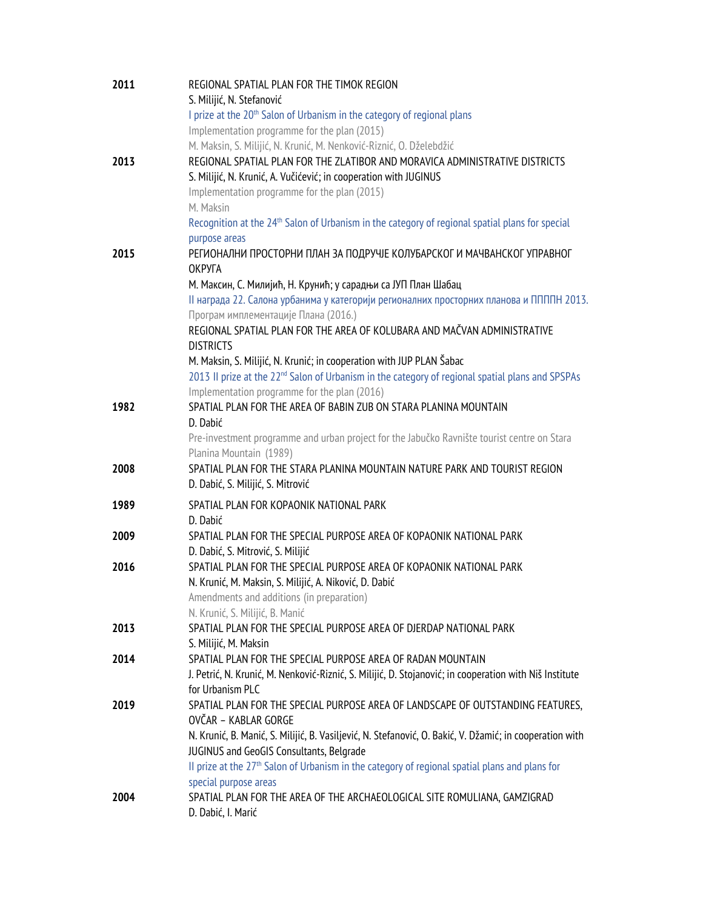| 2011 | REGIONAL SPATIAL PLAN FOR THE TIMOK REGION                                                                   |
|------|--------------------------------------------------------------------------------------------------------------|
|      | S. Milijić, N. Stefanović                                                                                    |
|      | I prize at the 20 <sup>th</sup> Salon of Urbanism in the category of regional plans                          |
|      | Implementation programme for the plan (2015)                                                                 |
|      | M. Maksin, S. Milijić, N. Krunić, M. Nenković-Riznić, O. Dželebdžić                                          |
| 2013 | REGIONAL SPATIAL PLAN FOR THE ZLATIBOR AND MORAVICA ADMINISTRATIVE DISTRICTS                                 |
|      | S. Milijić, N. Krunić, A. Vučićević; in cooperation with JUGINUS                                             |
|      | Implementation programme for the plan (2015)                                                                 |
|      | M. Maksin                                                                                                    |
|      | Recognition at the 24 <sup>th</sup> Salon of Urbanism in the category of regional spatial plans for special  |
|      | purpose areas                                                                                                |
| 2015 | РЕГИОНАЛНИ ПРОСТОРНИ ПЛАН ЗА ПОДРУЧЈЕ КОЛУБАРСКОГ И МАЧВАНСКОГ УПРАВНОГ                                      |
|      | ОКРУГА                                                                                                       |
|      | М. Максин, С. Милијић, Н. Крунић; у сарадњи са ЈУП План Шабац                                                |
|      | II награда 22. Салона урбанима у категорији регионалних просторних планова и ППППН 2013.                     |
|      | Програм имплементације Плана (2016.)                                                                         |
|      | REGIONAL SPATIAL PLAN FOR THE AREA OF KOLUBARA AND MAČVAN ADMINISTRATIVE                                     |
|      | <b>DISTRICTS</b>                                                                                             |
|      | M. Maksin, S. Milijić, N. Krunić; in cooperation with JUP PLAN Šabac                                         |
|      | 2013 II prize at the 22 <sup>nd</sup> Salon of Urbanism in the category of regional spatial plans and SPSPAs |
|      | Implementation programme for the plan (2016)                                                                 |
| 1982 | SPATIAL PLAN FOR THE AREA OF BABIN ZUB ON STARA PLANINA MOUNTAIN                                             |
|      | D. Dabić                                                                                                     |
|      | Pre-investment programme and urban project for the Jabučko Ravnište tourist centre on Stara                  |
|      | Planina Mountain (1989)                                                                                      |
| 2008 | SPATIAL PLAN FOR THE STARA PLANINA MOUNTAIN NATURE PARK AND TOURIST REGION                                   |
|      | D. Dabić, S. Milijić, S. Mitrović                                                                            |
| 1989 | SPATIAL PLAN FOR KOPAONIK NATIONAL PARK                                                                      |
|      | D. Dabić                                                                                                     |
| 2009 | SPATIAL PLAN FOR THE SPECIAL PURPOSE AREA OF KOPAONIK NATIONAL PARK                                          |
|      | D. Dabić, S. Mitrović, S. Milijić                                                                            |
| 2016 | SPATIAL PLAN FOR THE SPECIAL PURPOSE AREA OF KOPAONIK NATIONAL PARK                                          |
|      | N. Krunić, M. Maksin, S. Milijić, A. Niković, D. Dabić                                                       |
|      | Amendments and additions (in preparation)                                                                    |
|      | N. Krunić, S. Milijić, B. Manić                                                                              |
| 2013 | SPATIAL PLAN FOR THE SPECIAL PURPOSE AREA OF DJERDAP NATIONAL PARK                                           |
|      | S. Milijić, M. Maksin                                                                                        |
| 2014 | SPATIAL PLAN FOR THE SPECIAL PURPOSE AREA OF RADAN MOUNTAIN                                                  |
|      | J. Petrić, N. Krunić, M. Nenković-Riznić, S. Milijić, D. Stojanović; in cooperation with Niš Institute       |
|      | for Urbanism PLC                                                                                             |
| 2019 | SPATIAL PLAN FOR THE SPECIAL PURPOSE AREA OF LANDSCAPE OF OUTSTANDING FEATURES,                              |
|      | OVČAR - KABLAR GORGE                                                                                         |
|      | N. Krunić, B. Manić, S. Milijić, B. Vasiljević, N. Stefanović, O. Bakić, V. Džamić; in cooperation with      |
|      | JUGINUS and GeoGIS Consultants, Belgrade                                                                     |
|      | II prize at the 27 <sup>th</sup> Salon of Urbanism in the category of regional spatial plans and plans for   |
|      | special purpose areas                                                                                        |
| 2004 | SPATIAL PLAN FOR THE AREA OF THE ARCHAEOLOGICAL SITE ROMULIANA, GAMZIGRAD                                    |
|      | D. Dabić, I. Marić                                                                                           |
|      |                                                                                                              |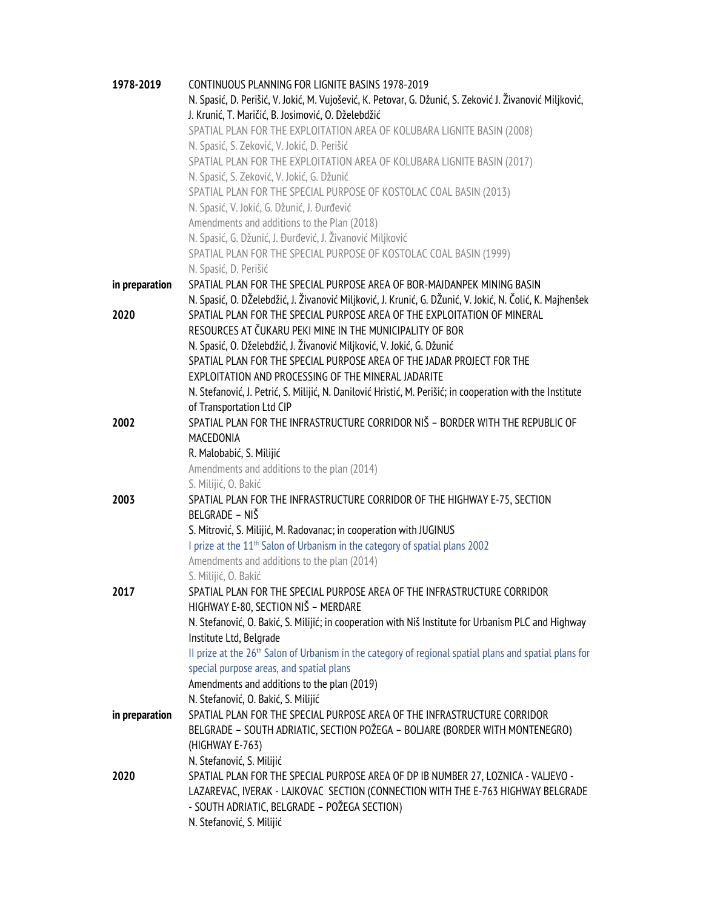| 1978-2019      | CONTINUOUS PLANNING FOR LIGNITE BASINS 1978-2019                                                                   |
|----------------|--------------------------------------------------------------------------------------------------------------------|
|                | N. Spasić, D. Perišić, V. Jokić, M. Vujošević, K. Petovar, G. Džunić, S. Zeković J. Živanović Miljković,           |
|                | J. Krunić, T. Maričić, B. Josimović, O. Dželebdžić                                                                 |
|                | SPATIAL PLAN FOR THE EXPLOITATION AREA OF KOLUBARA LIGNITE BASIN (2008)                                            |
|                | N. Spasić, S. Zeković, V. Jokić, D. Perišić                                                                        |
|                | SPATIAL PLAN FOR THE EXPLOITATION AREA OF KOLUBARA LIGNITE BASIN (2017)                                            |
|                | N. Spasić, S. Zeković, V. Jokić, G. Džunić                                                                         |
|                | SPATIAL PLAN FOR THE SPECIAL PURPOSE OF KOSTOLAC COAL BASIN (2013)                                                 |
|                |                                                                                                                    |
|                | N. Spasić, V. Jokić, G. Džunić, J. Đurđević                                                                        |
|                | Amendments and additions to the Plan (2018)                                                                        |
|                | N. Spasić, G. Džunić, J. Đurđević, J. Živanović Miljković                                                          |
|                | SPATIAL PLAN FOR THE SPECIAL PURPOSE OF KOSTOLAC COAL BASIN (1999)                                                 |
|                | N. Spasić, D. Perišić                                                                                              |
| in preparation | SPATIAL PLAN FOR THE SPECIAL PURPOSE AREA OF BOR-MAJDANPEK MINING BASIN                                            |
|                | N. Spasić, O. DŽelebdžić, J. Živanović Miljković, J. Krunić, G. DŽunić, V. Jokić, N. Čolić, K. Majhenšek           |
| 2020           | SPATIAL PLAN FOR THE SPECIAL PURPOSE AREA OF THE EXPLOITATION OF MINERAL                                           |
|                | RESOURCES AT ČUKARU PEKI MINE IN THE MUNICIPALITY OF BOR                                                           |
|                | N. Spasić, O. Dželebdžić, J. Živanović Miljković, V. Jokić, G. Džunić                                              |
|                | SPATIAL PLAN FOR THE SPECIAL PURPOSE AREA OF THE JADAR PROJECT FOR THE                                             |
|                | EXPLOITATION AND PROCESSING OF THE MINERAL JADARITE                                                                |
|                | N. Stefanović, J. Petrić, S. Milijić, N. Danilović Hristić, M. Perišić; in cooperation with the Institute          |
|                | of Transportation Ltd CIP                                                                                          |
| 2002           | SPATIAL PLAN FOR THE INFRASTRUCTURE CORRIDOR NIŠ - BORDER WITH THE REPUBLIC OF                                     |
|                | MACEDONIA                                                                                                          |
|                | R. Malobabić, S. Milijić                                                                                           |
|                | Amendments and additions to the plan (2014)                                                                        |
|                | S. Milijić, O. Bakić                                                                                               |
| 2003           | SPATIAL PLAN FOR THE INFRASTRUCTURE CORRIDOR OF THE HIGHWAY E-75, SECTION                                          |
|                | BELGRADE - NIŠ                                                                                                     |
|                | S. Mitrović, S. Milijić, M. Radovanac; in cooperation with JUGINUS                                                 |
|                | I prize at the 11 <sup>th</sup> Salon of Urbanism in the category of spatial plans 2002                            |
|                | Amendments and additions to the plan (2014)                                                                        |
|                | S. Milijić, O. Bakić                                                                                               |
| 2017           | SPATIAL PLAN FOR THE SPECIAL PURPOSE AREA OF THE INFRASTRUCTURE CORRIDOR                                           |
|                | HIGHWAY E-80, SECTION NIŠ - MERDARE                                                                                |
|                | N. Stefanović, O. Bakić, S. Milijić; in cooperation with Niš Institute for Urbanism PLC and Highway                |
|                | Institute Ltd, Belgrade                                                                                            |
|                | II prize at the 26 <sup>th</sup> Salon of Urbanism in the category of regional spatial plans and spatial plans for |
|                | special purpose areas, and spatial plans                                                                           |
|                | Amendments and additions to the plan (2019)                                                                        |
|                | N. Stefanović, O. Bakić, S. Milijić                                                                                |
| in preparation | SPATIAL PLAN FOR THE SPECIAL PURPOSE AREA OF THE INFRASTRUCTURE CORRIDOR                                           |
|                | BELGRADE - SOUTH ADRIATIC, SECTION POŽEGA - BOLJARE (BORDER WITH MONTENEGRO)                                       |
|                | (HIGHWAY E-763)                                                                                                    |
|                | N. Stefanović, S. Milijić                                                                                          |
| 2020           | SPATIAL PLAN FOR THE SPECIAL PURPOSE AREA OF DP IB NUMBER 27, LOZNICA - VALJEVO -                                  |
|                | LAZAREVAC, IVERAK - LAJKOVAC SECTION (CONNECTION WITH THE E-763 HIGHWAY BELGRADE                                   |
|                | - SOUTH ADRIATIC, BELGRADE - POŽEGA SECTION)                                                                       |
|                | N. Stefanović, S. Milijić                                                                                          |
|                |                                                                                                                    |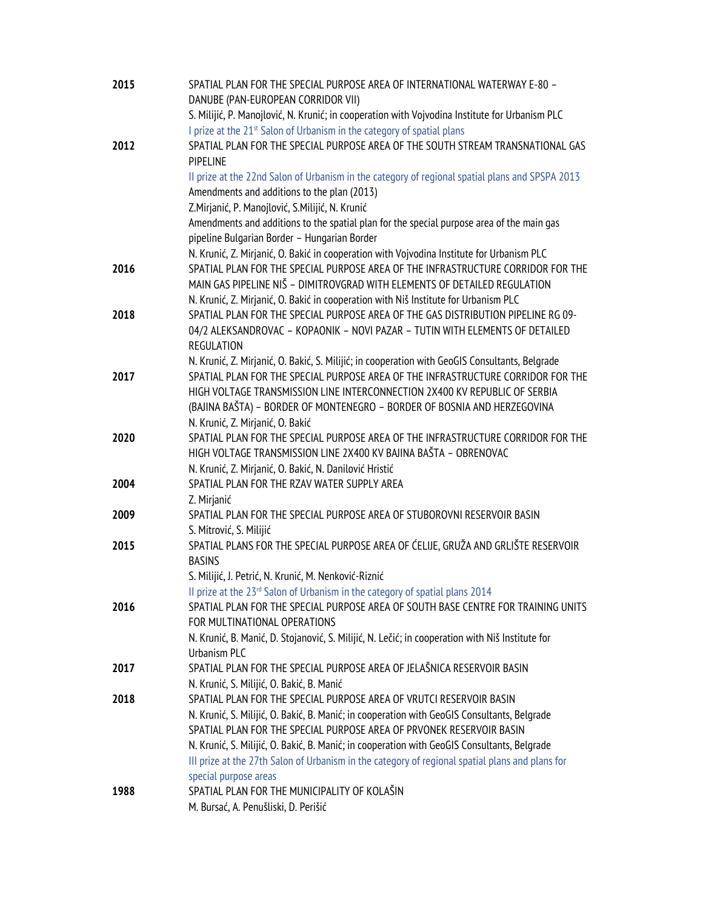| 2015 | SPATIAL PLAN FOR THE SPECIAL PURPOSE AREA OF INTERNATIONAL WATERWAY E-80 -                         |
|------|----------------------------------------------------------------------------------------------------|
|      | DANUBE (PAN-EUROPEAN CORRIDOR VII)                                                                 |
|      | S. Milijić, P. Manojlović, N. Krunić; in cooperation with Vojvodina Institute for Urbanism PLC     |
|      | I prize at the 21 <sup>st</sup> Salon of Urbanism in the category of spatial plans                 |
| 2012 | SPATIAL PLAN FOR THE SPECIAL PURPOSE AREA OF THE SOUTH STREAM TRANSNATIONAL GAS<br><b>PIPELINE</b> |
|      | Il prize at the 22nd Salon of Urbanism in the category of regional spatial plans and SPSPA 2013    |
|      | Amendments and additions to the plan (2013)                                                        |
|      | Z.Mirjanić, P. Manojlović, S.Milijić, N. Krunić                                                    |
|      | Amendments and additions to the spatial plan for the special purpose area of the main gas          |
|      | pipeline Bulgarian Border - Hungarian Border                                                       |
|      | N. Krunić, Z. Mirjanić, O. Bakić in cooperation with Vojvodina Institute for Urbanism PLC          |
| 2016 | SPATIAL PLAN FOR THE SPECIAL PURPOSE AREA OF THE INFRASTRUCTURE CORRIDOR FOR THE                   |
|      | MAIN GAS PIPELINE NIŠ - DIMITROVGRAD WITH ELEMENTS OF DETAILED REGULATION                          |
|      | N. Krunić, Z. Mirjanić, O. Bakić in cooperation with Niš Institute for Urbanism PLC                |
| 2018 | SPATIAL PLAN FOR THE SPECIAL PURPOSE AREA OF THE GAS DISTRIBUTION PIPELINE RG 09-                  |
|      | 04/2 ALEKSANDROVAC - KOPAONIK - NOVI PAZAR - TUTIN WITH ELEMENTS OF DETAILED                       |
|      | <b>REGULATION</b>                                                                                  |
|      | N. Krunić, Z. Mirjanić, O. Bakić, S. Milijić; in cooperation with GeoGIS Consultants, Belgrade     |
| 2017 | SPATIAL PLAN FOR THE SPECIAL PURPOSE AREA OF THE INFRASTRUCTURE CORRIDOR FOR THE                   |
|      | HIGH VOLTAGE TRANSMISSION LINE INTERCONNECTION 2X400 KV REPUBLIC OF SERBIA                         |
|      | (BAJINA BAŠTA) - BORDER OF MONTENEGRO - BORDER OF BOSNIA AND HERZEGOVINA                           |
|      | N. Krunić, Z. Mirjanić, O. Bakić                                                                   |
| 2020 | SPATIAL PLAN FOR THE SPECIAL PURPOSE AREA OF THE INFRASTRUCTURE CORRIDOR FOR THE                   |
|      | HIGH VOLTAGE TRANSMISSION LINE 2X400 KV BAJINA BAŠTA - OBRENOVAC                                   |
|      | N. Krunić, Z. Mirjanić, O. Bakić, N. Danilović Hristić                                             |
| 2004 | SPATIAL PLAN FOR THE RZAV WATER SUPPLY AREA                                                        |
|      | Z. Mirjanić                                                                                        |
| 2009 | SPATIAL PLAN FOR THE SPECIAL PURPOSE AREA OF STUBOROVNI RESERVOIR BASIN<br>S. Mitrović, S. Milijić |
| 2015 | SPATIAL PLANS FOR THE SPECIAL PURPOSE AREA OF ĆELIJE, GRUŽA AND GRLIŠTE RESERVOIR                  |
|      | <b>BASINS</b>                                                                                      |
|      | S. Milijić, J. Petrić, N. Krunić, M. Nenković-Riznić                                               |
|      | Il prize at the 23rd Salon of Urbanism in the category of spatial plans 2014                       |
| 2016 | SPATIAL PLAN FOR THE SPECIAL PURPOSE AREA OF SOUTH BASE CENTRE FOR TRAINING UNITS                  |
|      | FOR MULTINATIONAL OPERATIONS                                                                       |
|      | N. Krunić, B. Manić, D. Stojanović, S. Milijić, N. Lečić; in cooperation with Niš Institute for    |
|      | Urbanism PLC                                                                                       |
| 2017 | SPATIAL PLAN FOR THE SPECIAL PURPOSE AREA OF JELAŠNICA RESERVOIR BASIN                             |
|      | N. Krunić, S. Milijić, O. Bakić, B. Manić                                                          |
| 2018 | SPATIAL PLAN FOR THE SPECIAL PURPOSE AREA OF VRUTCI RESERVOIR BASIN                                |
|      | N. Krunić, S. Milijić, O. Bakić, B. Manić; in cooperation with GeoGIS Consultants, Belgrade        |
|      | SPATIAL PLAN FOR THE SPECIAL PURPOSE AREA OF PRVONEK RESERVOIR BASIN                               |
|      | N. Krunić, S. Milijić, O. Bakić, B. Manić; in cooperation with GeoGIS Consultants, Belgrade        |
|      | III prize at the 27th Salon of Urbanism in the category of regional spatial plans and plans for    |
|      | special purpose areas                                                                              |
| 1988 | SPATIAL PLAN FOR THE MUNICIPALITY OF KOLAŠIN                                                       |
|      | M. Bursać, A. Penušliski, D. Perišić                                                               |